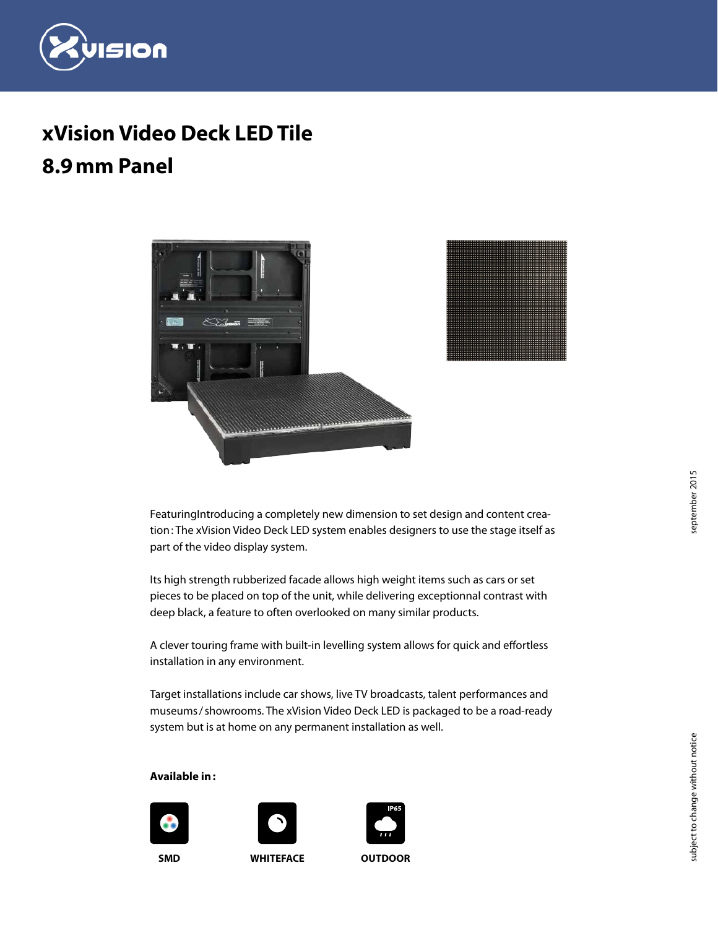

# **xVision Video Deck LED Tile 8.9mm Panel**



FeaturingIntroducing a completely new dimension to set design and content creation: The xVision Video Deck LED system enables designers to use the stage itself as part of the video display system.

Its high strength rubberized facade allows high weight items such as cars or set pieces to be placed on top of the unit, while delivering exceptionnal contrast with deep black, a feature to often overlooked on many similar products.

A clever touring frame with built-in levelling system allows for quick and effortless installation in any environment.

Target installations include car shows, live TV broadcasts, talent performances and museums/showrooms. The xVision Video Deck LED is packaged to be a road-ready system but is at home on any permanent installation as well.

#### **Available in:**





**SMD WHITEFACE OUTDOOR**